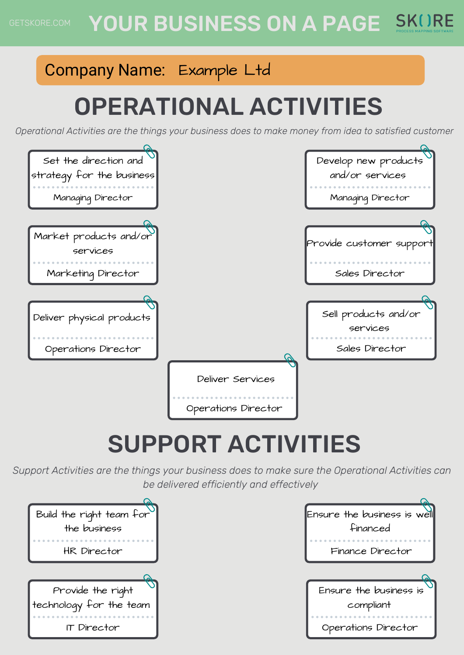### YOUR BUSINESS ON A PAGE SKURE

### Company Name: Example Ltd

# OPERATIONAL ACTIVITIES

*Operational Activities are the things your business does to make money from idea to satisfied customer*



# SUPPORT ACTIVITIES

*Support Activities are the things your business does to make sure the Operational Activities can be delivered efficiently and effectively*

| Build the right team for |
|--------------------------|
| the business             |
|                          |
| HR Director              |
|                          |
|                          |
| Provide the right        |
| technology for the team  |
|                          |

| Ensure the business is well |
|-----------------------------|
| financed                    |
|                             |
| Finance Director            |
|                             |
|                             |
|                             |
| Ensure the business is      |
|                             |
| compliant                   |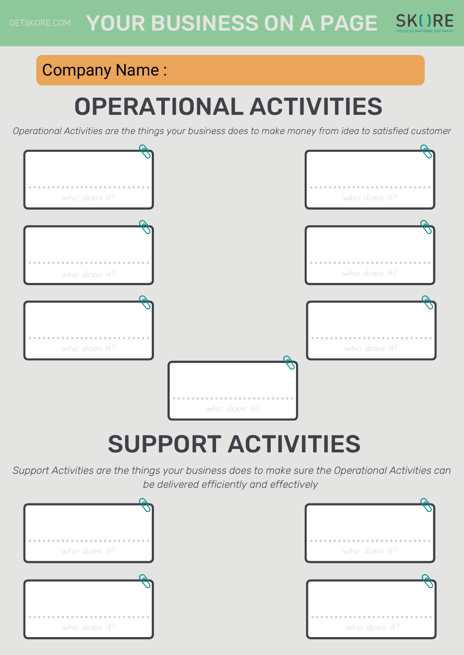### Company Name :

# OPERATIONAL ACTIVITIES

*Operational Activities are the things your business does to make money from idea to satisfied customer*



# SUPPORT ACTIVITIES

*Support Activities are the things your business does to make sure the Operational Activities can be delivered efficiently and effectively*



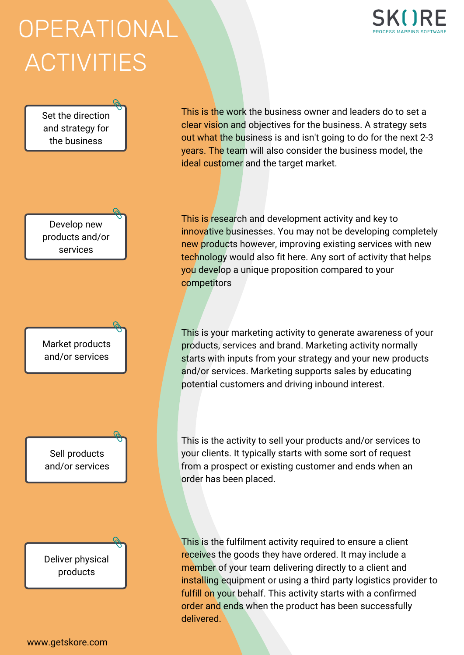# **OPERATIONAL** ACTIVITIES



This is the work the business owner and leaders do to set a clear vision and objectives for the business. A strategy sets out what the business is and isn't going to do for the next 2-3 years. The team will also consider the business model, the ideal customer and the target market.

This is research and development activity and key to innovative businesses. You may not be developing completely new products however, improving existing services with new technology would also fit here. Any sort of activity that helps you develop a unique proposition compared to your **competitors** 

This is your marketing activity to generate awareness of your products, services and brand. Marketing activity normally starts with inputs from your strategy and your new products and/or services. Marketing supports sales by educating potential customers and driving inbound interest.

This is the activity to sell your products and/or services to your clients. It typically starts with some sort of request from a prospect or existing customer and ends when an order has been placed.

This is the fulfilment activity required to ensure a client receives the goods they have ordered. It may include a member of your team delivering directly to a client and installing equipment or using a third party logistics provider to fulfill on your behalf. This activity starts with a confirmed order and ends when the product has been successfully delivered.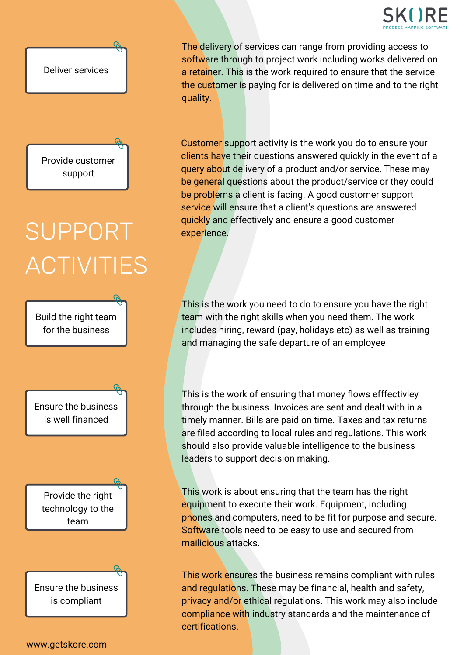



Provide customer support

# SUPPORT ACTIVITIES

Build the right team for the business

Ensure the business is well financed

Provide the right technology to the team

Ensure the business is compliant

The delivery of services can range from providing access to software through to project work including works delivered on a retainer. This is the work required to ensure that the service the customer is paying for is delivered on time and to the right quality.

Customer support activity is the work you do to ensure your clients have their questions answered quickly in the event of a query about delivery of a product and/or service. These may be general questions about the product/service or they could be problems a client is facing. A good customer support service will ensure that a client's questions are answered quickly and effectively and ensure a good customer experience.

This is the work you need to do to ensure you have the right team with the right skills when you need them. The work includes hiring, reward (pay, holidays etc) as well as training and managing the safe departure of an employee

This is the work of ensuring that money flows efffectivley through the business. Invoices are sent and dealt with in a timely manner. Bills are paid on time. Taxes and tax returns are filed according to local rules and regulations. This work should also provide valuable intelligence to the business leaders to support decision making.

This work is about ensuring that the team has the right equipment to execute their work. Equipment, including phones and computers, need to be fit for purpose and secure. Software tools need to be easy to use and secured from mailicious attacks.

This work ensures the business remains compliant with rules and regulations. These may be financial, health and safety, privacy and/or ethical regulations. This work may also include compliance with industry standards and the maintenance of certifications.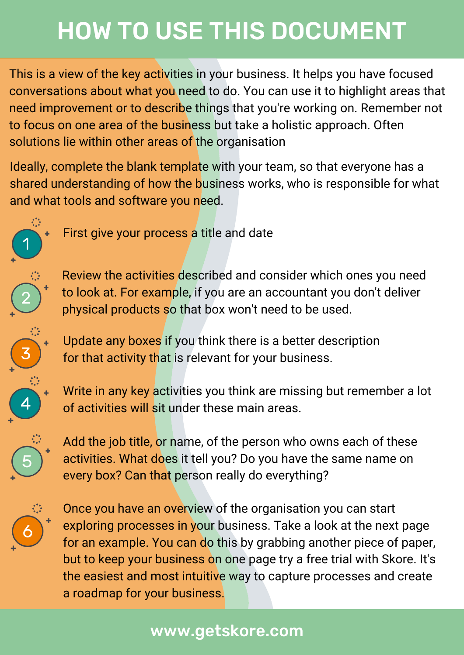# HOW TO USE THIS DOCUMENT

This is a view of the key activities in your business. It helps you have focused conversations about what you need to do. You can use it to highlight areas that need improvement or to describe things that you're working on. Remember not to focus on one area of the business but take a holistic approach. Often solutions lie within other areas of the organisation

Ideally, complete the blank template with your team, so that everyone has a shared understanding of how the business works, who is responsible for what and what tools and software you need.



First give your process a title and date



Review the activities described and consider which ones you need to look at. For example, if you are an accountant you don't deliver physical products so that box won't need to be used.



Update any boxes if you think there is a better description for that activity that is relevant for your business.



Write in any key activities you think are missing but remember a lot of activities will sit under these main areas.



Add the job title, or name, of the person who owns each of these activities. What does it tell you? Do you have the same name on every box? Can that person really do everything?



Once you have an overview of the organisation you can start exploring processes in your business. Take a look at the next page for an example. You can do this by grabbing another piece of paper, but to keep your business on one page try a free trial with Skore. It's the easiest and most intuitive way to capture processes and create a roadmap for your business.

### www.getskore.com